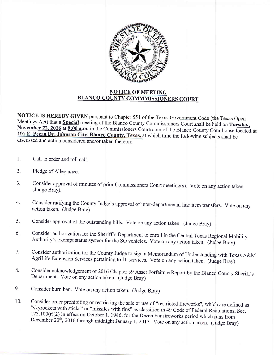

NOTICE IS HEREBY GIVEN pursuant to Chapter 551 of the Texas Government Code (the Texas Open Meetings Act) that a **Special** meeting of the Blanco County Commissioners Court shall be held on Tuesday, November 22, 2016 at 9:00 a.m. in the Commissioners Courtroom of the Blanco County Courthouse located at 101 E. Pecan Dr, Johnson City, Blanco County, Texas, at which time the following subjects shall be discussed and acti

- Call to order and roll call. 1.
- Pledge of Allegiance. 2.
- Consider approval of minutes of prior Commissioners Court meeting(s). Vote on any action taken. (Judge Bray). 3.
- Consider ratifying the County Judge's approval of inter-departmental line item transfers. Vote on any action taken. (Judge Bray) 4.
- Consider approval of the outstanding bills. Vote on any action taken. (Judge Bray) 5.
- Consider authorization for the Sheriff's Department to enroll in the Central Texas Regional Mobility Authority's exempt status system for the SO vehicles. Vote on any action taken. (Judge Bray) 6.
- Consider authorization for the County Judge to sign a Memorandum of Understanding with Texas A&M AgriLife Extension Services pertaining to IT services. Vote on any action taken. (Judge Bray) 7.
- Consider acknowledgement of 2016 Chapter 59 Asset Forfeiture Report by the Blanco County Sheriff's Department. Vote on any action taken. (Judge Bray) 8.
- Consider burn ban. Vote on any action taken. (Judge Bray) 9.
- Consider order prohibiting or restricting the sale or use of "restricted fireworks", which are defined as "skyrockets with sticks" or "missiles with fins" as classified in 49 Code of Federal Regulations, Sec. 173.100(r)(2 10.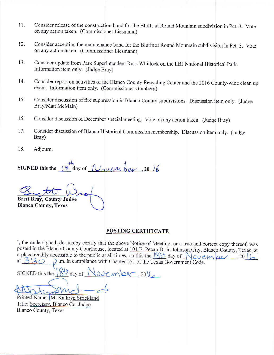- 11. Consider release of the construction bond for the Bluffs at Round Mounlain subdivision in Pct. 3. Vote on any action taken. (Commissioner Liesmann)
- Consider accepting the maintenance bond for the Bluffs at Round Mountain subdivision in Pct. 3. Vote on any action taken. (Commissioner Liesmann) 12.
- Consider update from Park Superintendent Russ Whitlock on the LBJ National Historical Park. Information item only. (Judge Bray) 13.
- 14. Consider report on activities of the Eilanco County Recycling Center and the 2016 County-wide clean up event. Information item only. (Commissioner Granberg)
- 15. Consider discussion of fire suppression in Blanco County subdivisions. Discussion item only. (Judge Bray/Matt McMain)
- Consider discussion of December special meeting. Vote on any action taken. (Judge Bray) 16.
- Consider discussion of Blanco Historical Commission membership. Discussion item only. (Judge Bray) 17.
- Adjourn. 18.

SIGNED this the  $\binom{3}{4}$  day of  $N_0 \cup \{m\}$  bey, 20  $\frac{1}{6}$ 

Brett Bray, County Judge

Blanco Counfy, Texas

## POSTING CERTIFICATE

I, the undersigned, do hereby certify that the above Notice of Meeting, or a true and correct copy thereof, was posted in the Blanco County Courthouse. located at <u>101 E. Pecan Dr</u> in Johnson City, Blanco County, Texas, at a place readily accessible to the public at all times, on this the  $\frac{\{3\}1}{\{1\}}$  day of  $\sqrt{\{2\}1}$  cover a place readily accessible to the public at all times, on this the  $\frac{1}{12}$  day of  $\frac{1}{2}$   $\frac{1}{2}$  day of  $\frac{1}{2}$ .

SIGNED this the  $\sqrt{844}$  day of  $\sqrt{0\nu cm\log 0}$ , 20 $\sqrt{0}$ .

Printed Name: *M. Kathryn Strickland*<br>Title: Secretary, Blanco Co. Judge Blanco County, Texas